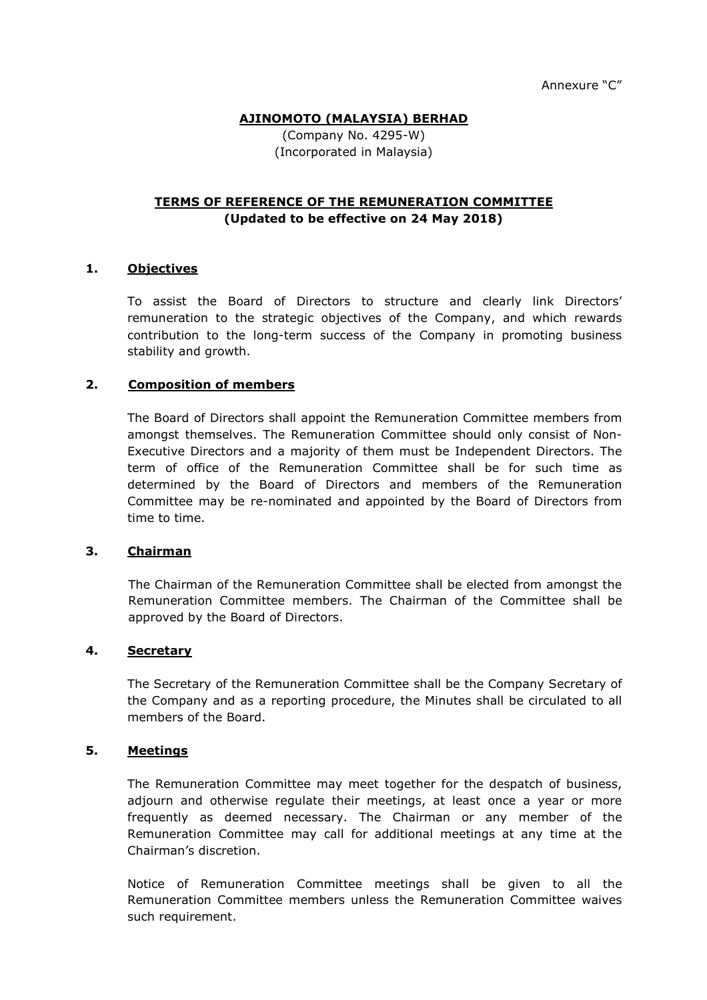## **AJINOMOTO (MALAYSIA) BERHAD**

(Company No. 4295-W) (Incorporated in Malaysia)

## **TERMS OF REFERENCE OF THE REMUNERATION COMMITTEE (Updated to be effective on 24 May 2018)**

## **1. Objectives**

To assist the Board of Directors to structure and clearly link Directors' remuneration to the strategic objectives of the Company, and which rewards contribution to the long-term success of the Company in promoting business stability and growth.

## **2. Composition of members**

The Board of Directors shall appoint the Remuneration Committee members from amongst themselves. The Remuneration Committee should only consist of Non-Executive Directors and a majority of them must be Independent Directors. The term of office of the Remuneration Committee shall be for such time as determined by the Board of Directors and members of the Remuneration Committee may be re-nominated and appointed by the Board of Directors from time to time.

#### **3. Chairman**

The Chairman of the Remuneration Committee shall be elected from amongst the Remuneration Committee members. The Chairman of the Committee shall be approved by the Board of Directors.

#### **4. Secretary**

The Secretary of the Remuneration Committee shall be the Company Secretary of the Company and as a reporting procedure, the Minutes shall be circulated to all members of the Board.

#### **5. Meetings**

The Remuneration Committee may meet together for the despatch of business, adjourn and otherwise regulate their meetings, at least once a year or more frequently as deemed necessary. The Chairman or any member of the Remuneration Committee may call for additional meetings at any time at the Chairman's discretion.

Notice of Remuneration Committee meetings shall be given to all the Remuneration Committee members unless the Remuneration Committee waives such requirement.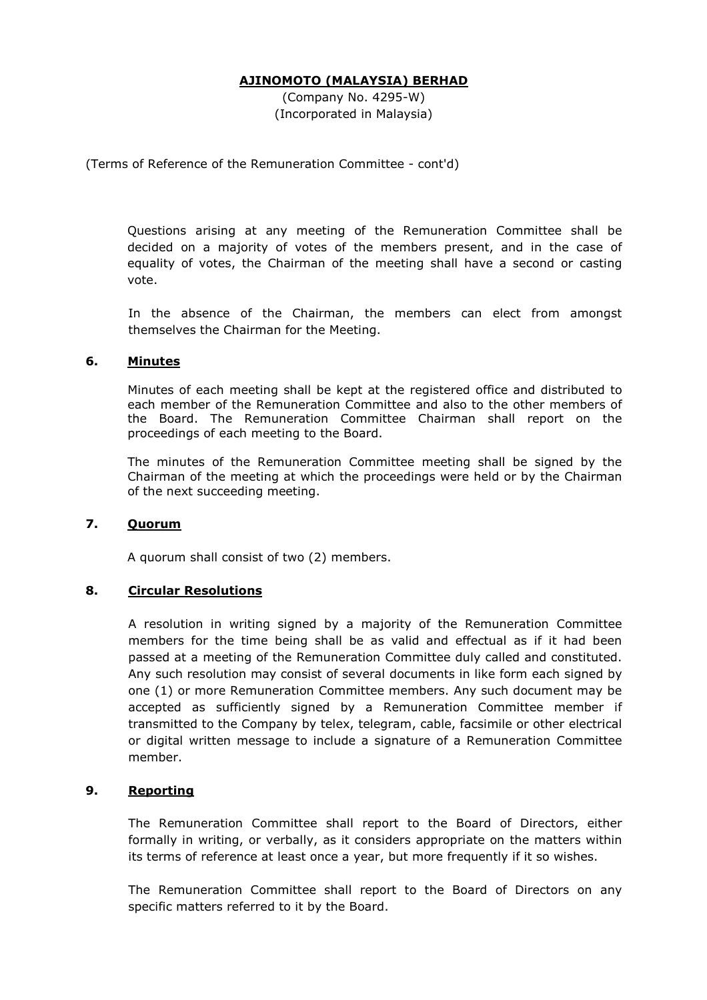#### **AJINOMOTO (MALAYSIA) BERHAD**

(Company No. 4295-W) (Incorporated in Malaysia)

(Terms of Reference of the Remuneration Committee - cont'd)

Questions arising at any meeting of the Remuneration Committee shall be decided on a majority of votes of the members present, and in the case of equality of votes, the Chairman of the meeting shall have a second or casting vote.

In the absence of the Chairman, the members can elect from amongst themselves the Chairman for the Meeting.

## **6. Minutes**

Minutes of each meeting shall be kept at the registered office and distributed to each member of the Remuneration Committee and also to the other members of the Board. The Remuneration Committee Chairman shall report on the proceedings of each meeting to the Board.

The minutes of the Remuneration Committee meeting shall be signed by the Chairman of the meeting at which the proceedings were held or by the Chairman of the next succeeding meeting.

#### **7. Quorum**

A quorum shall consist of two (2) members.

# **8. Circular Resolutions**

A resolution in writing signed by a majority of the Remuneration Committee members for the time being shall be as valid and effectual as if it had been passed at a meeting of the Remuneration Committee duly called and constituted. Any such resolution may consist of several documents in like form each signed by one (1) or more Remuneration Committee members. Any such document may be accepted as sufficiently signed by a Remuneration Committee member if transmitted to the Company by telex, telegram, cable, facsimile or other electrical or digital written message to include a signature of a Remuneration Committee member.

# **9. Reporting**

The Remuneration Committee shall report to the Board of Directors, either formally in writing, or verbally, as it considers appropriate on the matters within its terms of reference at least once a year, but more frequently if it so wishes.

The Remuneration Committee shall report to the Board of Directors on any specific matters referred to it by the Board.